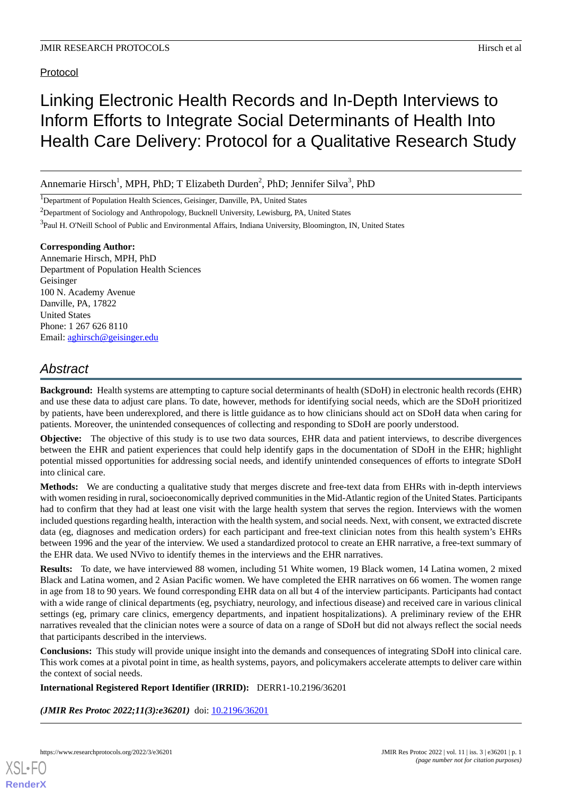# Protocol

# Linking Electronic Health Records and In-Depth Interviews to Inform Efforts to Integrate Social Determinants of Health Into Health Care Delivery: Protocol for a Qualitative Research Study

Annemarie Hirsch<sup>1</sup>, MPH, PhD; T Elizabeth Durden<sup>2</sup>, PhD; Jennifer Silva<sup>3</sup>, PhD

<sup>1</sup>Department of Population Health Sciences, Geisinger, Danville, PA, United States

<sup>2</sup>Department of Sociology and Anthropology, Bucknell University, Lewisburg, PA, United States

<sup>3</sup>Paul H. O'Neill School of Public and Environmental Affairs, Indiana University, Bloomington, IN, United States

## **Corresponding Author:**

Annemarie Hirsch, MPH, PhD Department of Population Health Sciences Geisinger 100 N. Academy Avenue Danville, PA, 17822 United States Phone: 1 267 626 8110 Email: [aghirsch@geisinger.edu](mailto:aghirsch@geisinger.edu)

# *Abstract*

**Background:** Health systems are attempting to capture social determinants of health (SDoH) in electronic health records (EHR) and use these data to adjust care plans. To date, however, methods for identifying social needs, which are the SDoH prioritized by patients, have been underexplored, and there is little guidance as to how clinicians should act on SDoH data when caring for patients. Moreover, the unintended consequences of collecting and responding to SDoH are poorly understood.

**Objective:** The objective of this study is to use two data sources, EHR data and patient interviews, to describe divergences between the EHR and patient experiences that could help identify gaps in the documentation of SDoH in the EHR; highlight potential missed opportunities for addressing social needs, and identify unintended consequences of efforts to integrate SDoH into clinical care.

**Methods:** We are conducting a qualitative study that merges discrete and free-text data from EHRs with in-depth interviews with women residing in rural, socioeconomically deprived communities in the Mid-Atlantic region of the United States. Participants had to confirm that they had at least one visit with the large health system that serves the region. Interviews with the women included questions regarding health, interaction with the health system, and social needs. Next, with consent, we extracted discrete data (eg, diagnoses and medication orders) for each participant and free-text clinician notes from this health system's EHRs between 1996 and the year of the interview. We used a standardized protocol to create an EHR narrative, a free-text summary of the EHR data. We used NVivo to identify themes in the interviews and the EHR narratives.

**Results:** To date, we have interviewed 88 women, including 51 White women, 19 Black women, 14 Latina women, 2 mixed Black and Latina women, and 2 Asian Pacific women. We have completed the EHR narratives on 66 women. The women range in age from 18 to 90 years. We found corresponding EHR data on all but 4 of the interview participants. Participants had contact with a wide range of clinical departments (eg, psychiatry, neurology, and infectious disease) and received care in various clinical settings (eg, primary care clinics, emergency departments, and inpatient hospitalizations). A preliminary review of the EHR narratives revealed that the clinician notes were a source of data on a range of SDoH but did not always reflect the social needs that participants described in the interviews.

**Conclusions:** This study will provide unique insight into the demands and consequences of integrating SDoH into clinical care. This work comes at a pivotal point in time, as health systems, payors, and policymakers accelerate attempts to deliver care within the context of social needs.

**International Registered Report Identifier (IRRID):** DERR1-10.2196/36201

(JMIR Res Protoc 2022;11(3):e36201) doi: [10.2196/36201](http://dx.doi.org/10.2196/36201)

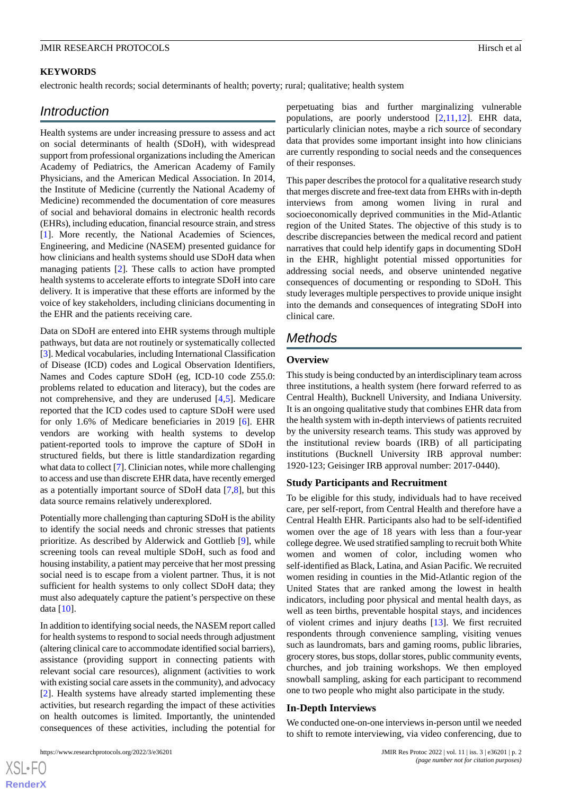# **KEYWORDS**

electronic health records; social determinants of health; poverty; rural; qualitative; health system

# *Introduction*

Health systems are under increasing pressure to assess and act on social determinants of health (SDoH), with widespread support from professional organizations including the American Academy of Pediatrics, the American Academy of Family Physicians, and the American Medical Association. In 2014, the Institute of Medicine (currently the National Academy of Medicine) recommended the documentation of core measures of social and behavioral domains in electronic health records (EHRs), including education, financial resource strain, and stress [[1\]](#page-4-0). More recently, the National Academies of Sciences, Engineering, and Medicine (NASEM) presented guidance for how clinicians and health systems should use SDoH data when managing patients [[2\]](#page-4-1). These calls to action have prompted health systems to accelerate efforts to integrate SDoH into care delivery. It is imperative that these efforts are informed by the voice of key stakeholders, including clinicians documenting in the EHR and the patients receiving care.

Data on SDoH are entered into EHR systems through multiple pathways, but data are not routinely or systematically collected [[3\]](#page-4-2). Medical vocabularies, including International Classification of Disease (ICD) codes and Logical Observation Identifiers, Names and Codes capture SDoH (eg, ICD-10 code Z55.0: problems related to education and literacy), but the codes are not comprehensive, and they are underused [\[4](#page-4-3),[5\]](#page-4-4). Medicare reported that the ICD codes used to capture SDoH were used for only 1.6% of Medicare beneficiaries in 2019 [\[6](#page-4-5)]. EHR vendors are working with health systems to develop patient-reported tools to improve the capture of SDoH in structured fields, but there is little standardization regarding what data to collect [\[7](#page-5-0)]. Clinician notes, while more challenging to access and use than discrete EHR data, have recently emerged as a potentially important source of SDoH data [\[7](#page-5-0),[8\]](#page-5-1), but this data source remains relatively underexplored.

Potentially more challenging than capturing SDoH is the ability to identify the social needs and chronic stresses that patients prioritize. As described by Alderwick and Gottlieb [[9](#page-5-2)], while screening tools can reveal multiple SDoH, such as food and housing instability, a patient may perceive that her most pressing social need is to escape from a violent partner. Thus, it is not sufficient for health systems to only collect SDoH data; they must also adequately capture the patient's perspective on these data [\[10](#page-5-3)].

In addition to identifying social needs, the NASEM report called for health systems to respond to social needs through adjustment (altering clinical care to accommodate identified social barriers), assistance (providing support in connecting patients with relevant social care resources), alignment (activities to work with existing social care assets in the community), and advocacy [[2\]](#page-4-1). Health systems have already started implementing these activities, but research regarding the impact of these activities on health outcomes is limited. Importantly, the unintended consequences of these activities, including the potential for

perpetuating bias and further marginalizing vulnerable populations, are poorly understood [[2](#page-4-1)[,11](#page-5-4),[12\]](#page-5-5). EHR data, particularly clinician notes, maybe a rich source of secondary data that provides some important insight into how clinicians are currently responding to social needs and the consequences of their responses.

This paper describes the protocol for a qualitative research study that merges discrete and free-text data from EHRs with in-depth interviews from among women living in rural and socioeconomically deprived communities in the Mid-Atlantic region of the United States. The objective of this study is to describe discrepancies between the medical record and patient narratives that could help identify gaps in documenting SDoH in the EHR, highlight potential missed opportunities for addressing social needs, and observe unintended negative consequences of documenting or responding to SDoH. This study leverages multiple perspectives to provide unique insight into the demands and consequences of integrating SDoH into clinical care.

# *Methods*

### **Overview**

This study is being conducted by an interdisciplinary team across three institutions, a health system (here forward referred to as Central Health), Bucknell University, and Indiana University. It is an ongoing qualitative study that combines EHR data from the health system with in-depth interviews of patients recruited by the university research teams. This study was approved by the institutional review boards (IRB) of all participating institutions (Bucknell University IRB approval number: 1920-123; Geisinger IRB approval number: 2017-0440).

#### **Study Participants and Recruitment**

To be eligible for this study, individuals had to have received care, per self-report, from Central Health and therefore have a Central Health EHR. Participants also had to be self-identified women over the age of 18 years with less than a four-year college degree. We used stratified sampling to recruit both White women and women of color, including women who self-identified as Black, Latina, and Asian Pacific. We recruited women residing in counties in the Mid-Atlantic region of the United States that are ranked among the lowest in health indicators, including poor physical and mental health days, as well as teen births, preventable hospital stays, and incidences of violent crimes and injury deaths [[13\]](#page-5-6). We first recruited respondents through convenience sampling, visiting venues such as laundromats, bars and gaming rooms, public libraries, grocery stores, bus stops, dollar stores, public community events, churches, and job training workshops. We then employed snowball sampling, asking for each participant to recommend one to two people who might also participate in the study.

#### **In-Depth Interviews**

We conducted one-on-one interviews in-person until we needed to shift to remote interviewing, via video conferencing, due to

 $XS$ -FO **[RenderX](http://www.renderx.com/)**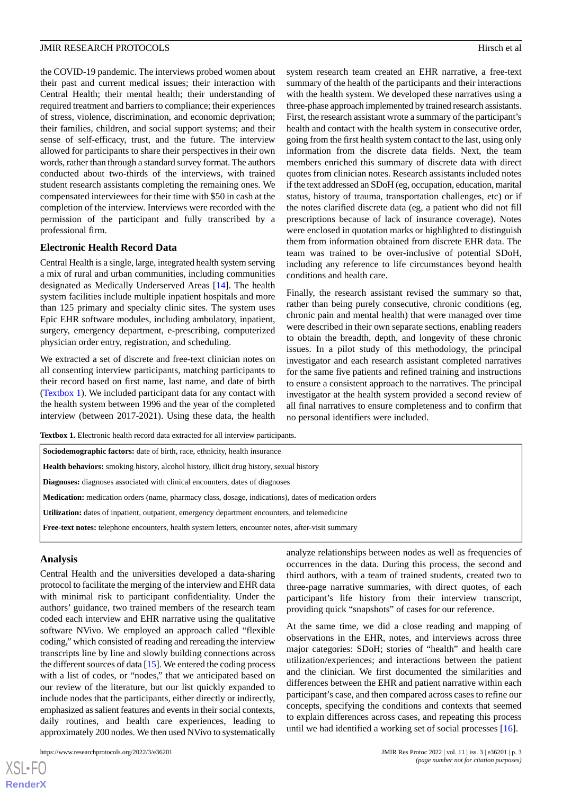the COVID-19 pandemic. The interviews probed women about their past and current medical issues; their interaction with Central Health; their mental health; their understanding of required treatment and barriers to compliance; their experiences of stress, violence, discrimination, and economic deprivation; their families, children, and social support systems; and their sense of self-efficacy, trust, and the future. The interview allowed for participants to share their perspectives in their own words, rather than through a standard survey format. The authors conducted about two-thirds of the interviews, with trained student research assistants completing the remaining ones. We compensated interviewees for their time with \$50 in cash at the completion of the interview. Interviews were recorded with the permission of the participant and fully transcribed by a professional firm.

# **Electronic Health Record Data**

Central Health is a single, large, integrated health system serving a mix of rural and urban communities, including communities designated as Medically Underserved Areas [[14\]](#page-5-7). The health system facilities include multiple inpatient hospitals and more than 125 primary and specialty clinic sites. The system uses Epic EHR software modules, including ambulatory, inpatient, surgery, emergency department, e-prescribing, computerized physician order entry, registration, and scheduling.

<span id="page-2-0"></span>We extracted a set of discrete and free-text clinician notes on all consenting interview participants, matching participants to their record based on first name, last name, and date of birth ([Textbox 1\)](#page-2-0). We included participant data for any contact with the health system between 1996 and the year of the completed interview (between 2017-2021). Using these data, the health

system research team created an EHR narrative, a free-text summary of the health of the participants and their interactions with the health system. We developed these narratives using a three-phase approach implemented by trained research assistants. First, the research assistant wrote a summary of the participant's health and contact with the health system in consecutive order, going from the first health system contact to the last, using only information from the discrete data fields. Next, the team members enriched this summary of discrete data with direct quotes from clinician notes. Research assistants included notes if the text addressed an SDoH (eg, occupation, education, marital status, history of trauma, transportation challenges, etc) or if the notes clarified discrete data (eg, a patient who did not fill prescriptions because of lack of insurance coverage). Notes were enclosed in quotation marks or highlighted to distinguish them from information obtained from discrete EHR data. The team was trained to be over-inclusive of potential SDoH, including any reference to life circumstances beyond health conditions and health care.

Finally, the research assistant revised the summary so that, rather than being purely consecutive, chronic conditions (eg, chronic pain and mental health) that were managed over time were described in their own separate sections, enabling readers to obtain the breadth, depth, and longevity of these chronic issues. In a pilot study of this methodology, the principal investigator and each research assistant completed narratives for the same five patients and refined training and instructions to ensure a consistent approach to the narratives. The principal investigator at the health system provided a second review of all final narratives to ensure completeness and to confirm that no personal identifiers were included.

**Textbox 1.** Electronic health record data extracted for all interview participants.

**Sociodemographic factors:** date of birth, race, ethnicity, health insurance **Health behaviors:** smoking history, alcohol history, illicit drug history, sexual history **Diagnoses:** diagnoses associated with clinical encounters, dates of diagnoses **Medication:** medication orders (name, pharmacy class, dosage, indications), dates of medication orders **Utilization:** dates of inpatient, outpatient, emergency department encounters, and telemedicine **Free-text notes:** telephone encounters, health system letters, encounter notes, after-visit summary

## **Analysis**

[XSL](http://www.w3.org/Style/XSL)•FO **[RenderX](http://www.renderx.com/)**

Central Health and the universities developed a data-sharing protocol to facilitate the merging of the interview and EHR data with minimal risk to participant confidentiality. Under the authors' guidance, two trained members of the research team coded each interview and EHR narrative using the qualitative software NVivo. We employed an approach called "flexible coding," which consisted of reading and rereading the interview transcripts line by line and slowly building connections across the different sources of data  $[15]$  $[15]$ . We entered the coding process with a list of codes, or "nodes," that we anticipated based on our review of the literature, but our list quickly expanded to include nodes that the participants, either directly or indirectly, emphasized as salient features and events in their social contexts, daily routines, and health care experiences, leading to approximately 200 nodes. We then used NVivo to systematically

analyze relationships between nodes as well as frequencies of occurrences in the data. During this process, the second and third authors, with a team of trained students, created two to three-page narrative summaries, with direct quotes, of each participant's life history from their interview transcript, providing quick "snapshots" of cases for our reference.

At the same time, we did a close reading and mapping of observations in the EHR, notes, and interviews across three major categories: SDoH; stories of "health" and health care utilization/experiences; and interactions between the patient and the clinician. We first documented the similarities and differences between the EHR and patient narrative within each participant's case, and then compared across cases to refine our concepts, specifying the conditions and contexts that seemed to explain differences across cases, and repeating this process until we had identified a working set of social processes [\[16](#page-5-9)].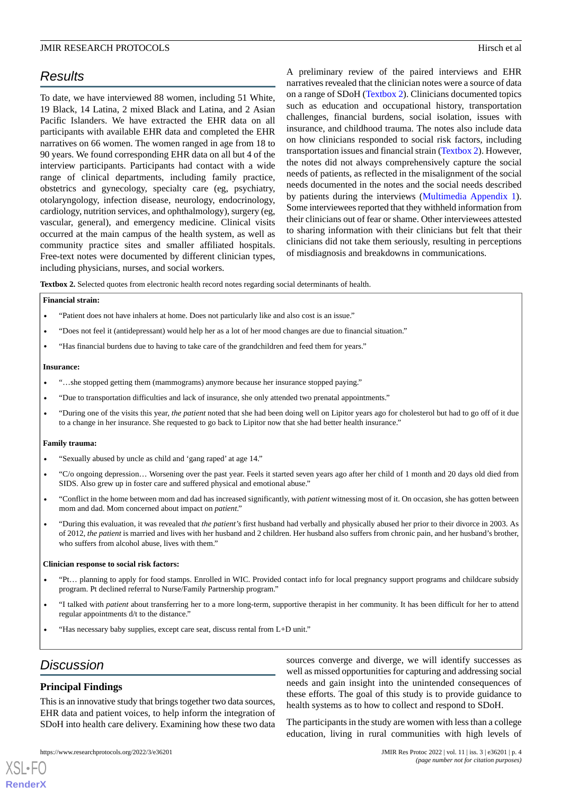# *Results*

To date, we have interviewed 88 women, including 51 White, 19 Black, 14 Latina, 2 mixed Black and Latina, and 2 Asian Pacific Islanders. We have extracted the EHR data on all participants with available EHR data and completed the EHR narratives on 66 women. The women ranged in age from 18 to 90 years. We found corresponding EHR data on all but 4 of the interview participants. Participants had contact with a wide range of clinical departments, including family practice, obstetrics and gynecology, specialty care (eg, psychiatry, otolaryngology, infection disease, neurology, endocrinology, cardiology, nutrition services, and ophthalmology), surgery (eg, vascular, general), and emergency medicine. Clinical visits occurred at the main campus of the health system, as well as community practice sites and smaller affiliated hospitals. Free-text notes were documented by different clinician types, including physicians, nurses, and social workers.

A preliminary review of the paired interviews and EHR narratives revealed that the clinician notes were a source of data on a range of SDoH ([Textbox 2](#page-3-0)). Clinicians documented topics such as education and occupational history, transportation challenges, financial burdens, social isolation, issues with insurance, and childhood trauma. The notes also include data on how clinicians responded to social risk factors, including transportation issues and financial strain ([Textbox 2\)](#page-3-0). However, the notes did not always comprehensively capture the social needs of patients, as reflected in the misalignment of the social needs documented in the notes and the social needs described by patients during the interviews ([Multimedia Appendix 1\)](#page-4-6). Some interviewees reported that they withheld information from their clinicians out of fear or shame. Other interviewees attested to sharing information with their clinicians but felt that their clinicians did not take them seriously, resulting in perceptions of misdiagnosis and breakdowns in communications.

<span id="page-3-0"></span>**Textbox 2.** Selected quotes from electronic health record notes regarding social determinants of health.

#### **Financial strain:**

- "Patient does not have inhalers at home. Does not particularly like and also cost is an issue."
- "Does not feel it (antidepressant) would help her as a lot of her mood changes are due to financial situation."
- "Has financial burdens due to having to take care of the grandchildren and feed them for years."

#### **Insurance:**

- "…she stopped getting them (mammograms) anymore because her insurance stopped paying."
- "Due to transportation difficulties and lack of insurance, she only attended two prenatal appointments."
- "During one of the visits this year, *the patient* noted that she had been doing well on Lipitor years ago for cholesterol but had to go off of it due to a change in her insurance. She requested to go back to Lipitor now that she had better health insurance."

#### **Family trauma:**

- "Sexually abused by uncle as child and 'gang raped' at age 14."
- "C/o ongoing depression… Worsening over the past year. Feels it started seven years ago after her child of 1 month and 20 days old died from SIDS. Also grew up in foster care and suffered physical and emotional abuse."
- "Conflict in the home between mom and dad has increased significantly, with *patient* witnessing most of it. On occasion, she has gotten between mom and dad. Mom concerned about impact on *patient*."
- "During this evaluation, it was revealed that *the patient's* first husband had verbally and physically abused her prior to their divorce in 2003. As of 2012, *the patient* is married and lives with her husband and 2 children. Her husband also suffers from chronic pain, and her husband's brother, who suffers from alcohol abuse, lives with them."

#### **Clinician response to social risk factors:**

- "Pt… planning to apply for food stamps. Enrolled in WIC. Provided contact info for local pregnancy support programs and childcare subsidy program. Pt declined referral to Nurse/Family Partnership program."
- "I talked with *patient* about transferring her to a more long-term, supportive therapist in her community. It has been difficult for her to attend regular appointments d/t to the distance."
- "Has necessary baby supplies, except care seat, discuss rental from L+D unit."

# *Discussion*

[XSL](http://www.w3.org/Style/XSL)•FO **[RenderX](http://www.renderx.com/)**

## **Principal Findings**

This is an innovative study that brings together two data sources, EHR data and patient voices, to help inform the integration of SDoH into health care delivery. Examining how these two data sources converge and diverge, we will identify successes as well as missed opportunities for capturing and addressing social needs and gain insight into the unintended consequences of these efforts. The goal of this study is to provide guidance to health systems as to how to collect and respond to SDoH.

The participants in the study are women with less than a college education, living in rural communities with high levels of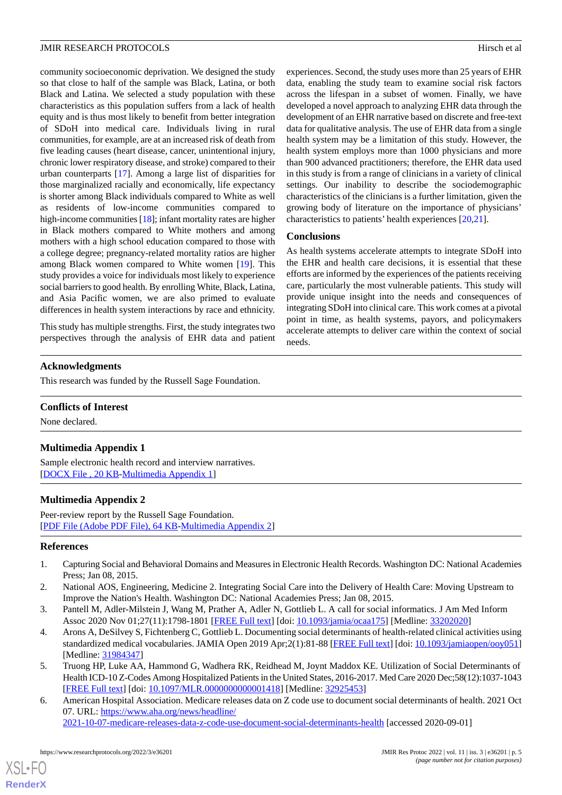community socioeconomic deprivation. We designed the study so that close to half of the sample was Black, Latina, or both Black and Latina. We selected a study population with these characteristics as this population suffers from a lack of health equity and is thus most likely to benefit from better integration of SDoH into medical care. Individuals living in rural communities, for example, are at an increased risk of death from five leading causes (heart disease, cancer, unintentional injury, chronic lower respiratory disease, and stroke) compared to their urban counterparts [[17\]](#page-5-10). Among a large list of disparities for those marginalized racially and economically, life expectancy is shorter among Black individuals compared to White as well as residents of low-income communities compared to high-income communities [[18\]](#page-5-11); infant mortality rates are higher in Black mothers compared to White mothers and among mothers with a high school education compared to those with a college degree; pregnancy-related mortality ratios are higher among Black women compared to White women [\[19](#page-5-12)]. This study provides a voice for individuals most likely to experience social barriers to good health. By enrolling White, Black, Latina, and Asia Pacific women, we are also primed to evaluate differences in health system interactions by race and ethnicity.

This study has multiple strengths. First, the study integrates two perspectives through the analysis of EHR data and patient experiences. Second, the study uses more than 25 years of EHR data, enabling the study team to examine social risk factors across the lifespan in a subset of women. Finally, we have developed a novel approach to analyzing EHR data through the development of an EHR narrative based on discrete and free-text data for qualitative analysis. The use of EHR data from a single health system may be a limitation of this study. However, the health system employs more than 1000 physicians and more than 900 advanced practitioners; therefore, the EHR data used in this study is from a range of clinicians in a variety of clinical settings. Our inability to describe the sociodemographic characteristics of the clinicians is a further limitation, given the growing body of literature on the importance of physicians' characteristics to patients' health experiences [[20,](#page-5-13)[21](#page-5-14)].

# **Conclusions**

As health systems accelerate attempts to integrate SDoH into the EHR and health care decisions, it is essential that these efforts are informed by the experiences of the patients receiving care, particularly the most vulnerable patients. This study will provide unique insight into the needs and consequences of integrating SDoH into clinical care. This work comes at a pivotal point in time, as health systems, payors, and policymakers accelerate attempts to deliver care within the context of social needs.

# **Acknowledgments**

This research was funded by the Russell Sage Foundation.

# <span id="page-4-6"></span>**Conflicts of Interest**

None declared.

# **Multimedia Appendix 1**

Sample electronic health record and interview narratives. [[DOCX File , 20 KB](https://jmir.org/api/download?alt_name=resprot_v11i3e36201_app1.docx&filename=7203c547a995cbf7d9048ce92c7ba84c.docx)-[Multimedia Appendix 1\]](https://jmir.org/api/download?alt_name=resprot_v11i3e36201_app1.docx&filename=7203c547a995cbf7d9048ce92c7ba84c.docx)

# **Multimedia Appendix 2**

<span id="page-4-1"></span><span id="page-4-0"></span>Peer-review report by the Russell Sage Foundation. [[PDF File \(Adobe PDF File\), 64 KB](https://jmir.org/api/download?alt_name=resprot_v11i3e36201_app2.pdf&filename=d0a4346214c6b28b2274717e7085e90c.pdf)-[Multimedia Appendix 2\]](https://jmir.org/api/download?alt_name=resprot_v11i3e36201_app2.pdf&filename=d0a4346214c6b28b2274717e7085e90c.pdf)

# <span id="page-4-2"></span>**References**

- <span id="page-4-3"></span>1. Capturing Social and Behavioral Domains and Measures in Electronic Health Records. Washington DC: National Academies Press; Jan 08, 2015.
- 2. National AOS, Engineering, Medicine 2. Integrating Social Care into the Delivery of Health Care: Moving Upstream to Improve the Nation's Health. Washington DC: National Academies Press; Jan 08, 2015.
- <span id="page-4-4"></span>3. Pantell M, Adler-Milstein J, Wang M, Prather A, Adler N, Gottlieb L. A call for social informatics. J Am Med Inform Assoc 2020 Nov 01;27(11):1798-1801 [[FREE Full text](http://europepmc.org/abstract/MED/33202020)] [doi: [10.1093/jamia/ocaa175](http://dx.doi.org/10.1093/jamia/ocaa175)] [Medline: [33202020\]](http://www.ncbi.nlm.nih.gov/entrez/query.fcgi?cmd=Retrieve&db=PubMed&list_uids=33202020&dopt=Abstract)
- <span id="page-4-5"></span>4. Arons A, DeSilvey S, Fichtenberg C, Gottlieb L. Documenting social determinants of health-related clinical activities using standardized medical vocabularies. JAMIA Open 2019 Apr;2(1):81-88 [\[FREE Full text](http://europepmc.org/abstract/MED/31984347)] [doi: [10.1093/jamiaopen/ooy051](http://dx.doi.org/10.1093/jamiaopen/ooy051)] [Medline: [31984347](http://www.ncbi.nlm.nih.gov/entrez/query.fcgi?cmd=Retrieve&db=PubMed&list_uids=31984347&dopt=Abstract)]
- 5. Truong HP, Luke AA, Hammond G, Wadhera RK, Reidhead M, Joynt Maddox KE. Utilization of Social Determinants of Health ICD-10 Z-Codes Among Hospitalized Patients in the United States, 2016-2017. Med Care 2020 Dec;58(12):1037-1043 [[FREE Full text](http://europepmc.org/abstract/MED/32925453)] [doi: [10.1097/MLR.0000000000001418\]](http://dx.doi.org/10.1097/MLR.0000000000001418) [Medline: [32925453\]](http://www.ncbi.nlm.nih.gov/entrez/query.fcgi?cmd=Retrieve&db=PubMed&list_uids=32925453&dopt=Abstract)
- 6. American Hospital Association. Medicare releases data on Z code use to document social determinants of health. 2021 Oct 07. URL: [https://www.aha.org/news/headline/](https://www.aha.org/news/headline/2021-10-07-medicare-releases-data-z-code-use-document-social-determinants-health)

[2021-10-07-medicare-releases-data-z-code-use-document-social-determinants-health](https://www.aha.org/news/headline/2021-10-07-medicare-releases-data-z-code-use-document-social-determinants-health) [accessed 2020-09-01]

[XSL](http://www.w3.org/Style/XSL)•FO **[RenderX](http://www.renderx.com/)**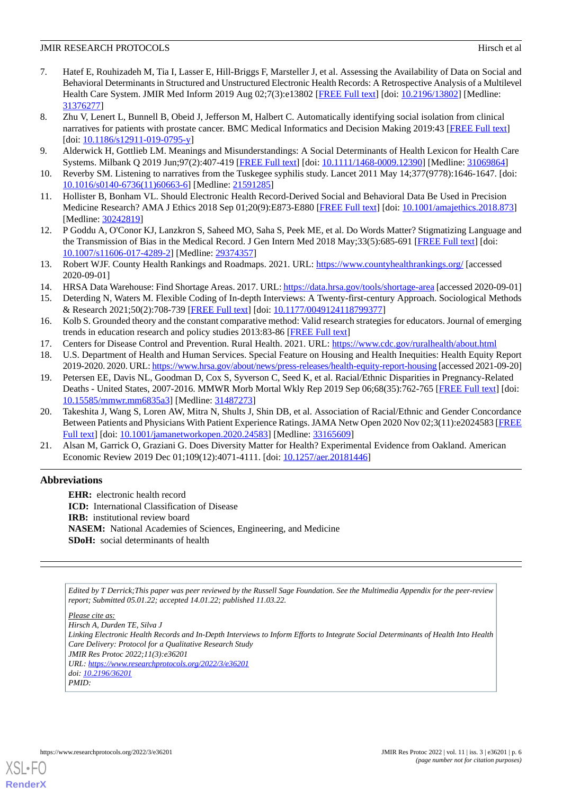- <span id="page-5-0"></span>7. Hatef E, Rouhizadeh M, Tia I, Lasser E, Hill-Briggs F, Marsteller J, et al. Assessing the Availability of Data on Social and Behavioral Determinants in Structured and Unstructured Electronic Health Records: A Retrospective Analysis of a Multilevel Health Care System. JMIR Med Inform 2019 Aug 02;7(3):e13802 [[FREE Full text](https://medinform.jmir.org/2019/3/e13802/)] [doi: [10.2196/13802\]](http://dx.doi.org/10.2196/13802) [Medline: [31376277](http://www.ncbi.nlm.nih.gov/entrez/query.fcgi?cmd=Retrieve&db=PubMed&list_uids=31376277&dopt=Abstract)]
- <span id="page-5-1"></span>8. Zhu V, Lenert L, Bunnell B, Obeid J, Jefferson M, Halbert C. Automatically identifying social isolation from clinical narratives for patients with prostate cancer. BMC Medical Informatics and Decision Making 2019:43 [[FREE Full text](https://doi.org/10.1186/s12911-019-0795-y)] [doi: [10.1186/s12911-019-0795-y](http://dx.doi.org/10.1186/s12911-019-0795-y)]
- <span id="page-5-3"></span><span id="page-5-2"></span>9. Alderwick H, Gottlieb LM. Meanings and Misunderstandings: A Social Determinants of Health Lexicon for Health Care Systems. Milbank Q 2019 Jun;97(2):407-419 [[FREE Full text](http://europepmc.org/abstract/MED/31069864)] [doi: [10.1111/1468-0009.12390\]](http://dx.doi.org/10.1111/1468-0009.12390) [Medline: [31069864](http://www.ncbi.nlm.nih.gov/entrez/query.fcgi?cmd=Retrieve&db=PubMed&list_uids=31069864&dopt=Abstract)]
- <span id="page-5-4"></span>10. Reverby SM. Listening to narratives from the Tuskegee syphilis study. Lancet 2011 May 14;377(9778):1646-1647. [doi: [10.1016/s0140-6736\(11\)60663-6](http://dx.doi.org/10.1016/s0140-6736(11)60663-6)] [Medline: [21591285\]](http://www.ncbi.nlm.nih.gov/entrez/query.fcgi?cmd=Retrieve&db=PubMed&list_uids=21591285&dopt=Abstract)
- <span id="page-5-5"></span>11. Hollister B, Bonham VL. Should Electronic Health Record-Derived Social and Behavioral Data Be Used in Precision Medicine Research? AMA J Ethics 2018 Sep 01;20(9):E873-E880 [[FREE Full text](https://journalofethics.ama-assn.org/article/should-electronic-health-record-derived-social-and-behavioral-data-be-used-precision-medicine/2018-09)] [doi: [10.1001/amajethics.2018.873](http://dx.doi.org/10.1001/amajethics.2018.873)] [Medline: [30242819](http://www.ncbi.nlm.nih.gov/entrez/query.fcgi?cmd=Retrieve&db=PubMed&list_uids=30242819&dopt=Abstract)]
- <span id="page-5-6"></span>12. P Goddu A, O'Conor KJ, Lanzkron S, Saheed MO, Saha S, Peek ME, et al. Do Words Matter? Stigmatizing Language and the Transmission of Bias in the Medical Record. J Gen Intern Med 2018 May;33(5):685-691 [\[FREE Full text\]](http://europepmc.org/abstract/MED/29374357) [doi: [10.1007/s11606-017-4289-2\]](http://dx.doi.org/10.1007/s11606-017-4289-2) [Medline: [29374357](http://www.ncbi.nlm.nih.gov/entrez/query.fcgi?cmd=Retrieve&db=PubMed&list_uids=29374357&dopt=Abstract)]
- <span id="page-5-8"></span><span id="page-5-7"></span>13. Robert WJF. County Health Rankings and Roadmaps. 2021. URL:<https://www.countyhealthrankings.org/> [accessed 2020-09-01]
- <span id="page-5-9"></span>14. HRSA Data Warehouse: Find Shortage Areas. 2017. URL:<https://data.hrsa.gov/tools/shortage-area> [accessed 2020-09-01]
- 15. Deterding N, Waters M. Flexible Coding of In-depth Interviews: A Twenty-first-century Approach. Sociological Methods & Research 2021;50(2):708-739 [\[FREE Full text\]](https://doi.org/10.1177/0049124118799377) [doi: [10.1177/0049124118799377](http://dx.doi.org/10.1177/0049124118799377)]
- <span id="page-5-11"></span><span id="page-5-10"></span>16. Kolb S. Grounded theory and the constant comparative method: Valid research strategies for educators. Journal of emerging trends in education research and policy studies 2013:83-86 [\[FREE Full text\]](https://hdl.handle.net/10520/EJC135409)
- <span id="page-5-12"></span>17. Centers for Disease Control and Prevention. Rural Health. 2021. URL: <https://www.cdc.gov/ruralhealth/about.html>
- 18. U.S. Department of Health and Human Services. Special Feature on Housing and Health Inequities: Health Equity Report 2019-2020. 2020. URL:<https://www.hrsa.gov/about/news/press-releases/health-equity-report-housing> [accessed 2021-09-20]
- <span id="page-5-13"></span>19. Petersen EE, Davis NL, Goodman D, Cox S, Syverson C, Seed K, et al. Racial/Ethnic Disparities in Pregnancy-Related Deaths - United States, 2007-2016. MMWR Morb Mortal Wkly Rep 2019 Sep 06;68(35):762-765 [\[FREE Full text\]](https://doi.org/10.15585/mmwr.mm6835a3) [doi: [10.15585/mmwr.mm6835a3\]](http://dx.doi.org/10.15585/mmwr.mm6835a3) [Medline: [31487273\]](http://www.ncbi.nlm.nih.gov/entrez/query.fcgi?cmd=Retrieve&db=PubMed&list_uids=31487273&dopt=Abstract)
- <span id="page-5-14"></span>20. Takeshita J, Wang S, Loren AW, Mitra N, Shults J, Shin DB, et al. Association of Racial/Ethnic and Gender Concordance Between Patients and Physicians With Patient Experience Ratings. JAMA Netw Open 2020 Nov 02;3(11):e2024583 [\[FREE](https://jamanetwork.com/journals/jamanetworkopen/fullarticle/10.1001/jamanetworkopen.2020.24583) [Full text\]](https://jamanetwork.com/journals/jamanetworkopen/fullarticle/10.1001/jamanetworkopen.2020.24583) [doi: [10.1001/jamanetworkopen.2020.24583\]](http://dx.doi.org/10.1001/jamanetworkopen.2020.24583) [Medline: [33165609\]](http://www.ncbi.nlm.nih.gov/entrez/query.fcgi?cmd=Retrieve&db=PubMed&list_uids=33165609&dopt=Abstract)
- 21. Alsan M, Garrick O, Graziani G. Does Diversity Matter for Health? Experimental Evidence from Oakland. American Economic Review 2019 Dec 01;109(12):4071-4111. [doi: [10.1257/aer.20181446\]](http://dx.doi.org/10.1257/aer.20181446)

# **Abbreviations**

**EHR:** electronic health record **ICD:** International Classification of Disease **IRB:** institutional review board **NASEM:** National Academies of Sciences, Engineering, and Medicine **SDoH:** social determinants of health

*Edited by T Derrick;This paper was peer reviewed by the Russell Sage Foundation. See the Multimedia Appendix for the peer-review report; Submitted 05.01.22; accepted 14.01.22; published 11.03.22.*

*Please cite as: Hirsch A, Durden TE, Silva J Linking Electronic Health Records and In-Depth Interviews to Inform Efforts to Integrate Social Determinants of Health Into Health Care Delivery: Protocol for a Qualitative Research Study JMIR Res Protoc 2022;11(3):e36201 URL: <https://www.researchprotocols.org/2022/3/e36201> doi: [10.2196/36201](http://dx.doi.org/10.2196/36201) PMID:*